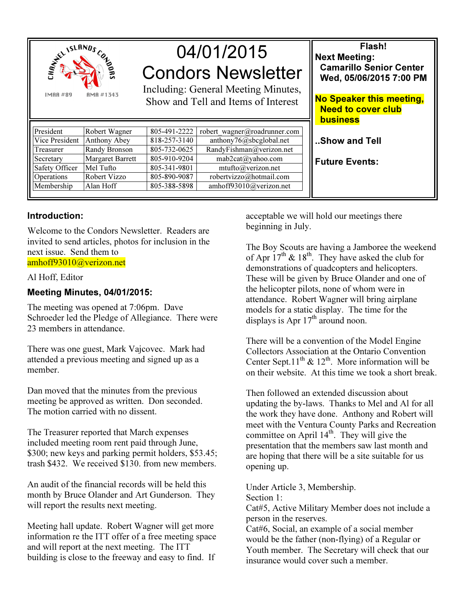

# 04/01/2015 Condors Newsletter

Including: General Meeting Minutes, Show and Tell and Items of Interest

| President      | Robert Wagner           | 805-491-2222 | robert wagner@roadrunner.com                    |
|----------------|-------------------------|--------------|-------------------------------------------------|
| Vice President | Anthony Abey            | 818-257-3140 | anthony76@sbcglobal.net                         |
| Treasurer      | Randy Bronson           | 805-732-0625 | $\overline{\text{RandyFishman}(a)}$ verizon.net |
| Secretary      | <b>Margaret Barrett</b> | 805-910-9204 | mab2cat@yahoo.com                               |
| Safety Officer | Mel Tufto               | 805-341-9801 | mtufto@verizon.net                              |
| Operations     | Robert Vizzo            | 805-890-9087 | robertvizzo@hotmail.com                         |
| Membership     | Alan Hoff               | 805-388-5898 | amhoff93010@verizon.net                         |

Flash! Next Meeting: Camarillo Senior Center Wed, 05/06/2015 7:00 PM

No Speaker this meeting, Need to cover club **business** 

..Show and Tell

Future Events:

## Introduction:

Welcome to the Condors Newsletter. Readers are invited to send articles, photos for inclusion in the next issue. Send them to amhoff93010@verizon.net

### Al Hoff, Editor

## Meeting Minutes, 04/01/2015:

The meeting was opened at 7:06pm. Dave Schroeder led the Pledge of Allegiance. There were 23 members in attendance.

There was one guest, Mark Vajcovec. Mark had attended a previous meeting and signed up as a member.

Dan moved that the minutes from the previous meeting be approved as written. Don seconded. The motion carried with no dissent.

The Treasurer reported that March expenses included meeting room rent paid through June, \$300; new keys and parking permit holders, \$53.45; trash \$432. We received \$130. from new members.

An audit of the financial records will be held this month by Bruce Olander and Art Gunderson. They will report the results next meeting.

Meeting hall update. Robert Wagner will get more information re the ITT offer of a free meeting space and will report at the next meeting. The ITT building is close to the freeway and easy to find. If

acceptable we will hold our meetings there beginning in July.

The Boy Scouts are having a Jamboree the weekend of Apr  $17^{th}$  &  $18^{th}$ . They have asked the club for demonstrations of quadcopters and helicopters. These will be given by Bruce Olander and one of the helicopter pilots, none of whom were in attendance. Robert Wagner will bring airplane models for a static display. The time for the displays is Apr  $17<sup>th</sup>$  around noon.

There will be a convention of the Model Engine Collectors Association at the Ontario Convention Center Sept.11<sup>th</sup> & 12<sup>th</sup>. More information will be on their website. At this time we took a short break.

Then followed an extended discussion about updating the by-laws. Thanks to Mel and Al for all the work they have done. Anthony and Robert will meet with the Ventura County Parks and Recreation committee on April  $14<sup>th</sup>$ . They will give the presentation that the members saw last month and are hoping that there will be a site suitable for us opening up.

Under Article 3, Membership.

Section 1:

Cat#5, Active Military Member does not include a person in the reserves.

Cat#6, Social, an example of a social member would be the father (non-flying) of a Regular or Youth member. The Secretary will check that our insurance would cover such a member.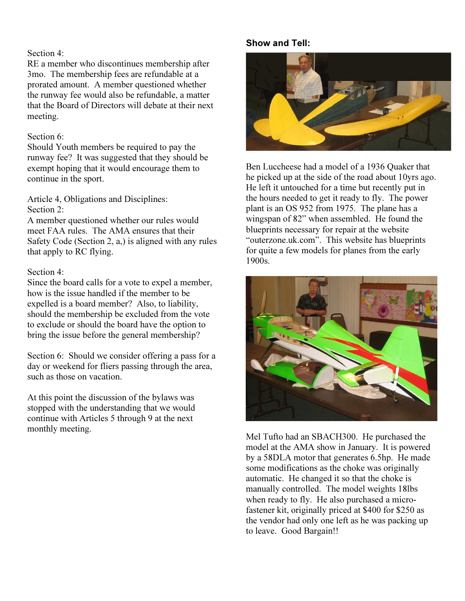#### Section 4:

RE a member who discontinues membership after 3mo. The membership fees are refundable at a prorated amount. A member questioned whether the runway fee would also be refundable, a matter that the Board of Directors will debate at their next meeting.

#### Section 6:

Should Youth members be required to pay the runway fee? It was suggested that they should be exempt hoping that it would encourage them to continue in the sport.

Article 4, Obligations and Disciplines: Section 2:

A member questioned whether our rules would meet FAA rules. The AMA ensures that their Safety Code (Section 2, a,) is aligned with any rules that apply to RC flying.

### Section 4:

Since the board calls for a vote to expel a member, how is the issue handled if the member to be expelled is a board member? Also, to liability, should the membership be excluded from the vote to exclude or should the board have the option to bring the issue before the general membership?

Section 6: Should we consider offering a pass for a day or weekend for fliers passing through the area, such as those on vacation.

At this point the discussion of the bylaws was stopped with the understanding that we would continue with Articles 5 through 9 at the next monthly meeting.

## Show and Tell:



Ben Luccheese had a model of a 1936 Quaker that he picked up at the side of the road about 10yrs ago. He left it untouched for a time but recently put in the hours needed to get it ready to fly. The power plant is an OS 952 from 1975. The plane has a wingspan of 82" when assembled. He found the blueprints necessary for repair at the website "outerzone.uk.com". This website has blueprints for quite a few models for planes from the early 1900s.



Mel Tufto had an SBACH300. He purchased the model at the AMA show in January. It is powered by a 58DLA motor that generates 6.5hp. He made some modifications as the choke was originally automatic. He changed it so that the choke is manually controlled. The model weights 18lbs when ready to fly. He also purchased a microfastener kit, originally priced at \$400 for \$250 as the vendor had only one left as he was packing up to leave. Good Bargain!!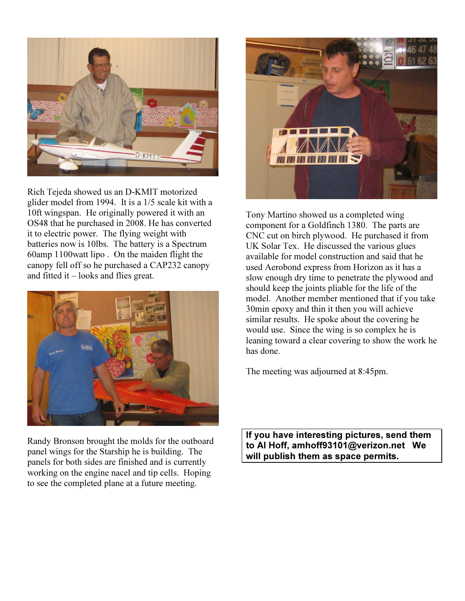

Rich Tejeda showed us an D-KMIT motorized glider model from 1994. It is a 1/5 scale kit with a 10ft wingspan. He originally powered it with an OS48 that he purchased in 2008. He has converted it to electric power. The flying weight with batteries now is 10lbs. The battery is a Spectrum 60amp 1100watt lipo . On the maiden flight the canopy fell off so he purchased a CAP232 canopy and fitted it – looks and flies great.



Randy Bronson brought the molds for the outboard panel wings for the Starship he is building. The panels for both sides are finished and is currently working on the engine nacel and tip cells. Hoping to see the completed plane at a future meeting.



Tony Martino showed us a completed wing component for a Goldfinch 1380. The parts are CNC cut on birch plywood. He purchased it from UK Solar Tex. He discussed the various glues available for model construction and said that he used Aerobond express from Horizon as it has a slow enough dry time to penetrate the plywood and should keep the joints pliable for the life of the model. Another member mentioned that if you take 30min epoxy and thin it then you will achieve similar results. He spoke about the covering he would use. Since the wing is so complex he is leaning toward a clear covering to show the work he has done.

The meeting was adjourned at 8:45pm.

If you have interesting pictures, send them to Al Hoff, amhoff93101@verizon.net We will publish them as space permits.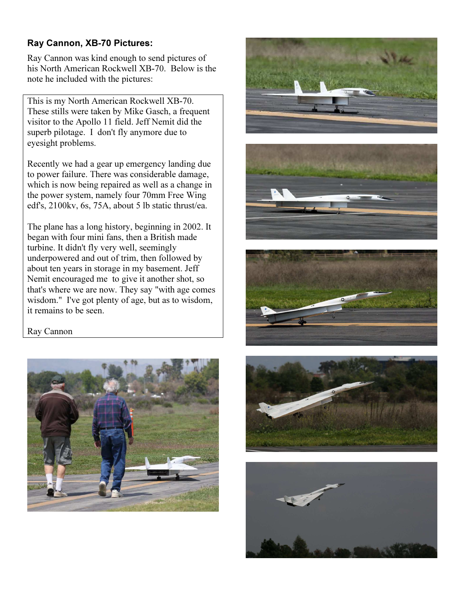## Ray Cannon, XB-70 Pictures:

Ray Cannon was kind enough to send pictures of his North American Rockwell XB-70. Below is the note he included with the pictures:

This is my North American Rockwell XB-70. These stills were taken by Mike Gasch, a frequent visitor to the Apollo 11 field. Jeff Nemit did the superb pilotage. I don't fly anymore due to eyesight problems.

Recently we had a gear up emergency landing due to power failure. There was considerable damage, which is now being repaired as well as a change in the power system, namely four 70mm Free Wing edf's, 2100kv, 6s, 75A, about 5 lb static thrust/ea.

The plane has a long history, beginning in 2002. It began with four mini fans, then a British made turbine. It didn't fly very well, seemingly underpowered and out of trim, then followed by about ten years in storage in my basement. Jeff Nemit encouraged me to give it another shot, so that's where we are now. They say "with age comes wisdom." I've got plenty of age, but as to wisdom, it remains to be seen.

## Ray Cannon